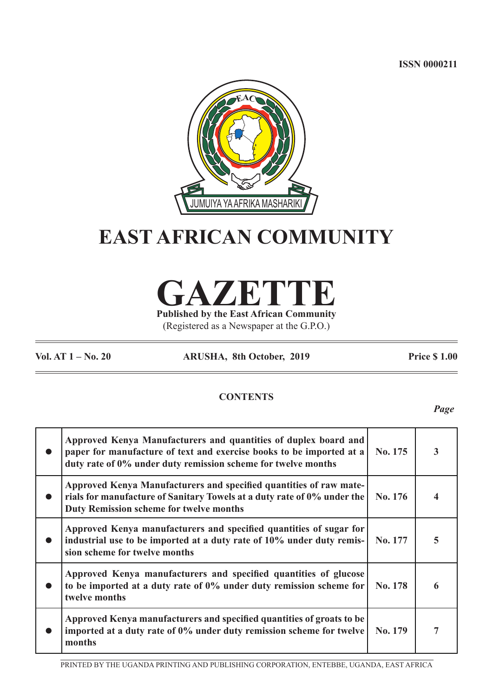**ISSN 0000211**



# **EAST AFRICAN COMMUNITY**

**GAZETTE Published by the East African Community**

(Registered as a Newspaper at the G.P.O.)

**Vol. AT 1 – No. 20 ARUSHA, 8th October, 2019 Price \$ 1.00**

# **CONTENTS**

*Page*

| Approved Kenya Manufacturers and quantities of duplex board and<br>paper for manufacture of text and exercise books to be imported at a<br>duty rate of 0% under duty remission scheme for twelve months | No. 175 | 3 |
|----------------------------------------------------------------------------------------------------------------------------------------------------------------------------------------------------------|---------|---|
| Approved Kenya Manufacturers and specified quantities of raw mate-<br>rials for manufacture of Sanitary Towels at a duty rate of 0% under the<br><b>Duty Remission scheme for twelve months</b>          | No. 176 |   |
| Approved Kenya manufacturers and specified quantities of sugar for<br>industrial use to be imported at a duty rate of 10% under duty remis-<br>sion scheme for twelve months                             | No. 177 | 5 |
| Approved Kenya manufacturers and specified quantities of glucose<br>to be imported at a duty rate of 0% under duty remission scheme for<br>twelve months                                                 | No. 178 |   |
| Approved Kenya manufacturers and specified quantities of groats to be<br>imported at a duty rate of 0% under duty remission scheme for twelve<br>months                                                  | No. 179 | 7 |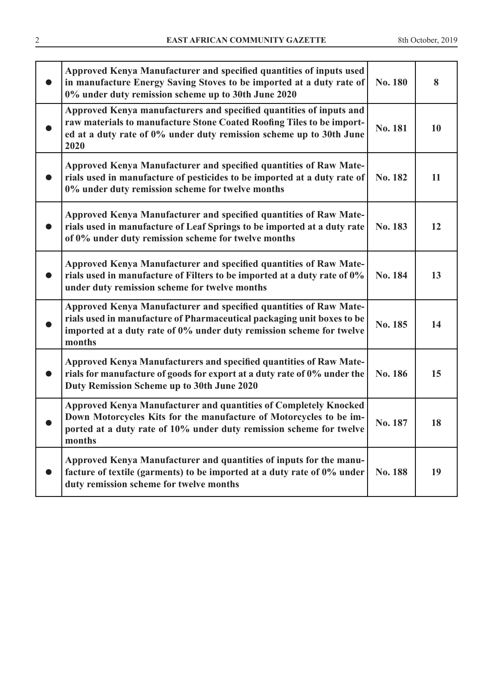| Approved Kenya Manufacturer and specified quantities of inputs used<br>in manufacture Energy Saving Stoves to be imported at a duty rate of<br>0% under duty remission scheme up to 30th June 2020                            | No. 180 | 8         |
|-------------------------------------------------------------------------------------------------------------------------------------------------------------------------------------------------------------------------------|---------|-----------|
| Approved Kenya manufacturers and specified quantities of inputs and<br>raw materials to manufacture Stone Coated Roofing Tiles to be import-<br>ed at a duty rate of 0% under duty remission scheme up to 30th June<br>2020   | No. 181 | <b>10</b> |
| Approved Kenya Manufacturer and specified quantities of Raw Mate-<br>rials used in manufacture of pesticides to be imported at a duty rate of<br>0% under duty remission scheme for twelve months                             | No. 182 | 11        |
| Approved Kenya Manufacturer and specified quantities of Raw Mate-<br>rials used in manufacture of Leaf Springs to be imported at a duty rate<br>of 0% under duty remission scheme for twelve months                           | No. 183 | 12        |
| Approved Kenya Manufacturer and specified quantities of Raw Mate-<br>rials used in manufacture of Filters to be imported at a duty rate of 0%<br>under duty remission scheme for twelve months                                | No. 184 | 13        |
| Approved Kenya Manufacturer and specified quantities of Raw Mate-<br>rials used in manufacture of Pharmaceutical packaging unit boxes to be<br>imported at a duty rate of 0% under duty remission scheme for twelve<br>months | No. 185 | 14        |
| Approved Kenya Manufacturers and specified quantities of Raw Mate-<br>rials for manufacture of goods for export at a duty rate of 0% under the<br>Duty Remission Scheme up to 30th June 2020                                  | No. 186 | 15        |
| Approved Kenya Manufacturer and quantities of Completely Knocked<br>Down Motorcycles Kits for the manufacture of Motorcycles to be im-<br>ported at a duty rate of 10% under duty remission scheme for twelve<br>months       | No. 187 | 18        |
| Approved Kenya Manufacturer and quantities of inputs for the manu-<br>facture of textile (garments) to be imported at a duty rate of 0% under<br>duty remission scheme for twelve months                                      | No. 188 | 19        |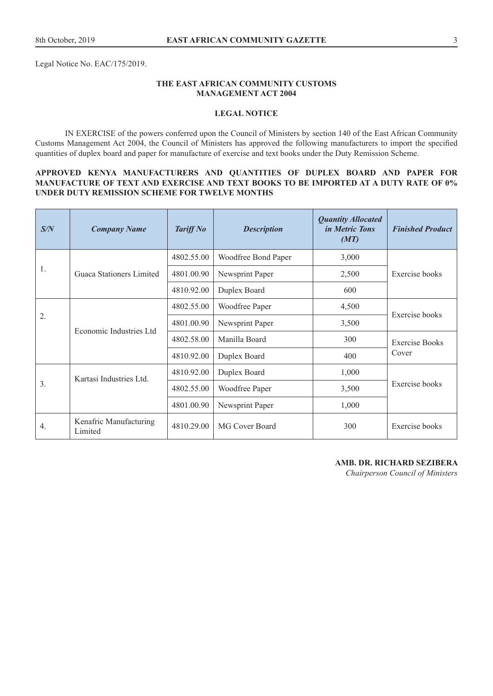Legal Notice No. EAC/175/2019.

#### **THE EAST AFRICAN COMMUNITY CUSTOMS MANAGEMENT ACT 2004**

#### **LEGAL NOTICE**

IN EXERCISE of the powers conferred upon the Council of Ministers by section 140 of the East African Community Customs Management Act 2004, the Council of Ministers has approved the following manufacturers to import the specified quantities of duplex board and paper for manufacture of exercise and text books under the Duty Remission Scheme.

#### **APPROVED KENYA MANUFACTURERS AND QUANTITIES OF DUPLEX BOARD AND PAPER FOR MANUFACTURE OF TEXT AND EXERCISE AND TEXT BOOKS TO BE IMPORTED AT A DUTY RATE OF 0% UNDER DUTY REMISSION SCHEME FOR TWELVE MONTHS**

| S/N              | <b>Company Name</b>               | <b>Tariff No</b> | <b>Description</b>  | <b>Quantity Allocated</b><br><i>in Metric Tons</i><br>(MT) | <b>Finished Product</b> |
|------------------|-----------------------------------|------------------|---------------------|------------------------------------------------------------|-------------------------|
|                  |                                   | 4802.55.00       | Woodfree Bond Paper | 3,000                                                      |                         |
| 1.               | Guaca Stationers Limited          | 4801.00.90       | Newsprint Paper     | 2,500                                                      | Exercise books          |
|                  |                                   | 4810.92.00       | Duplex Board        | 600                                                        |                         |
|                  |                                   | 4802.55.00       | Woodfree Paper      | 4,500                                                      |                         |
| 2.               | Economic Industries Ltd           | 4801.00.90       | Newsprint Paper     | 3,500                                                      | Exercise books          |
|                  |                                   | 4802.58.00       | Manilla Board       | 300                                                        | <b>Exercise Books</b>   |
|                  |                                   | 4810.92.00       | Duplex Board        | 400                                                        | Cover                   |
|                  | Kartasi Industries Ltd.           | 4810.92.00       | Duplex Board        | 1,000                                                      |                         |
| 3.               |                                   | 4802.55.00       | Woodfree Paper      | 3,500                                                      | Exercise books          |
|                  |                                   | 4801.00.90       | Newsprint Paper     | 1,000                                                      |                         |
| $\overline{4}$ . | Kenafric Manufacturing<br>Limited | 4810.29.00       | MG Cover Board      | 300                                                        | Exercise books          |

#### **AMB. DR. RICHARD SEZIBERA**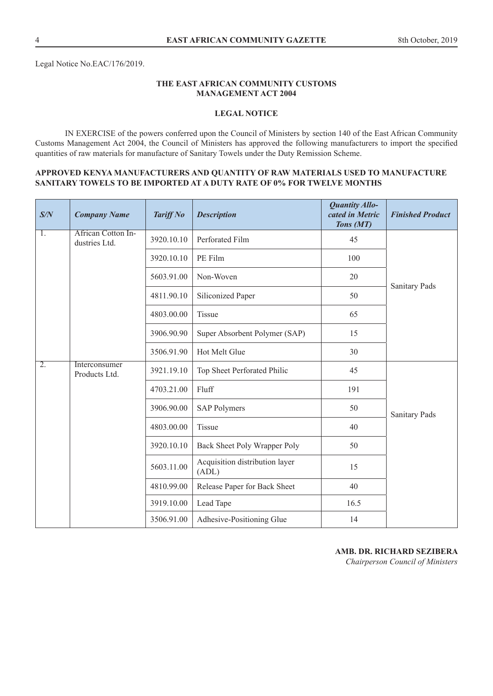Legal Notice No.EAC/176/2019.

#### **THE EAST AFRICAN COMMUNITY CUSTOMS MANAGEMENT ACT 2004**

#### **LEGAL NOTICE**

IN EXERCISE of the powers conferred upon the Council of Ministers by section 140 of the East African Community Customs Management Act 2004, the Council of Ministers has approved the following manufacturers to import the specified quantities of raw materials for manufacture of Sanitary Towels under the Duty Remission Scheme.

#### **APPROVED KENYA MANUFACTURERS AND QUANTITY OF RAW MATERIALS USED TO MANUFACTURE SANITARY TOWELS TO BE IMPORTED AT A DUTY RATE OF 0% FOR TWELVE MONTHS**

| S/N | <b>Company Name</b>                        | <b>Tariff No</b> | <b>Description</b>                      | Quantity Allo-<br>cated in Metric<br>Tons (MT) | <b>Finished Product</b> |
|-----|--------------------------------------------|------------------|-----------------------------------------|------------------------------------------------|-------------------------|
| 1.  | <b>African Cotton In-</b><br>dustries Ltd. | 3920.10.10       | Perforated Film                         | 45                                             |                         |
|     |                                            | 3920.10.10       | PE Film                                 | 100                                            |                         |
|     |                                            | 5603.91.00       | Non-Woven                               | 20                                             | Sanitary Pads           |
|     |                                            | 4811.90.10       | Siliconized Paper                       | 50                                             |                         |
|     |                                            | 4803.00.00       | Tissue                                  | 65                                             |                         |
|     |                                            | 3906.90.90       | Super Absorbent Polymer (SAP)           | 15                                             |                         |
|     |                                            | 3506.91.90       | Hot Melt Glue                           | 30                                             |                         |
| 2.  | Interconsumer<br>Products Ltd.             | 3921.19.10       | Top Sheet Perforated Philic             | 45                                             |                         |
|     |                                            | 4703.21.00       | Fluff                                   | 191                                            |                         |
|     |                                            | 3906.90.00       | <b>SAP Polymers</b>                     | 50                                             | <b>Sanitary Pads</b>    |
|     |                                            | 4803.00.00       | Tissue                                  | 40                                             |                         |
|     |                                            | 3920.10.10       | Back Sheet Poly Wrapper Poly            | 50                                             |                         |
|     |                                            | 5603.11.00       | Acquisition distribution layer<br>(ADL) | 15                                             |                         |
|     |                                            | 4810.99.00       | Release Paper for Back Sheet            | 40                                             |                         |
|     |                                            | 3919.10.00       | Lead Tape                               | 16.5                                           |                         |
|     |                                            | 3506.91.00       | Adhesive-Positioning Glue               | 14                                             |                         |

#### **AMB. DR. RICHARD SEZIBERA**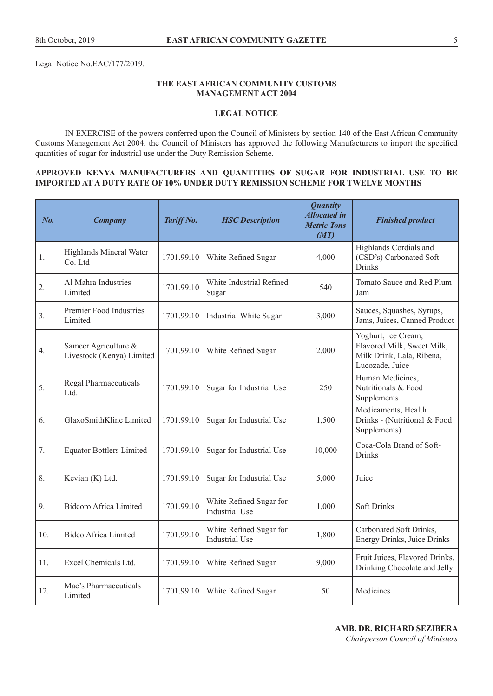Legal Notice No.EAC/177/2019.

#### **THE EAST AFRICAN COMMUNITY CUSTOMS MANAGEMENT ACT 2004**

#### **LEGAL NOTICE**

IN EXERCISE of the powers conferred upon the Council of Ministers by section 140 of the East African Community Customs Management Act 2004, the Council of Ministers has approved the following Manufacturers to import the specified quantities of sugar for industrial use under the Duty Remission Scheme.

#### **APPROVED KENYA MANUFACTURERS AND QUANTITIES OF SUGAR FOR INDUSTRIAL USE TO BE IMPORTED AT A DUTY RATE OF 10% UNDER DUTY REMISSION SCHEME FOR TWELVE MONTHS**

| No. | <b>Company</b>                                    | Tariff No. | <b>HSC</b> Description                           | <b>Quantity</b><br><b>Allocated in</b><br><b>Metric Tons</b><br>(MT) | <b>Finished product</b>                                                                           |
|-----|---------------------------------------------------|------------|--------------------------------------------------|----------------------------------------------------------------------|---------------------------------------------------------------------------------------------------|
| 1.  | Highlands Mineral Water<br>Co. Ltd                | 1701.99.10 | White Refined Sugar                              | 4,000                                                                | Highlands Cordials and<br>(CSD's) Carbonated Soft<br><b>Drinks</b>                                |
| 2.  | Al Mahra Industries<br>Limited                    | 1701.99.10 | White Industrial Refined<br>Sugar                | 540                                                                  | Tomato Sauce and Red Plum<br>Jam                                                                  |
| 3.  | Premier Food Industries<br>Limited                | 1701.99.10 | Industrial White Sugar                           | 3,000                                                                | Sauces, Squashes, Syrups,<br>Jams, Juices, Canned Product                                         |
| 4.  | Sameer Agriculture &<br>Livestock (Kenya) Limited | 1701.99.10 | White Refined Sugar                              | 2,000                                                                | Yoghurt, Ice Cream,<br>Flavored Milk, Sweet Milk,<br>Milk Drink, Lala, Ribena,<br>Lucozade, Juice |
| 5.  | Regal Pharmaceuticals<br>Ltd.                     | 1701.99.10 | Sugar for Industrial Use                         | 250                                                                  | Human Medicines,<br>Nutritionals & Food<br>Supplements                                            |
| 6.  | GlaxoSmithKline Limited                           | 1701.99.10 | Sugar for Industrial Use                         | 1,500                                                                | Medicaments, Health<br>Drinks - (Nutritional & Food<br>Supplements)                               |
| 7.  | <b>Equator Bottlers Limited</b>                   | 1701.99.10 | Sugar for Industrial Use                         | 10,000                                                               | Coca-Cola Brand of Soft-<br><b>Drinks</b>                                                         |
| 8.  | Kevian (K) Ltd.                                   | 1701.99.10 | Sugar for Industrial Use                         | 5,000                                                                | Juice                                                                                             |
| 9.  | <b>Bidcoro Africa Limited</b>                     | 1701.99.10 | White Refined Sugar for<br><b>Industrial Use</b> | 1,000                                                                | <b>Soft Drinks</b>                                                                                |
| 10. | <b>Bidco Africa Limited</b>                       | 1701.99.10 | White Refined Sugar for<br><b>Industrial Use</b> | 1,800                                                                | Carbonated Soft Drinks,<br>Energy Drinks, Juice Drinks                                            |
| 11. | Excel Chemicals Ltd.                              | 1701.99.10 | White Refined Sugar                              | 9,000                                                                | Fruit Juices, Flavored Drinks,<br>Drinking Chocolate and Jelly                                    |
| 12. | Mac's Pharmaceuticals<br>Limited                  | 1701.99.10 | White Refined Sugar                              | 50                                                                   | Medicines                                                                                         |

**AMB. DR. RICHARD SEZIBERA**  *Chairperson Council of Ministers*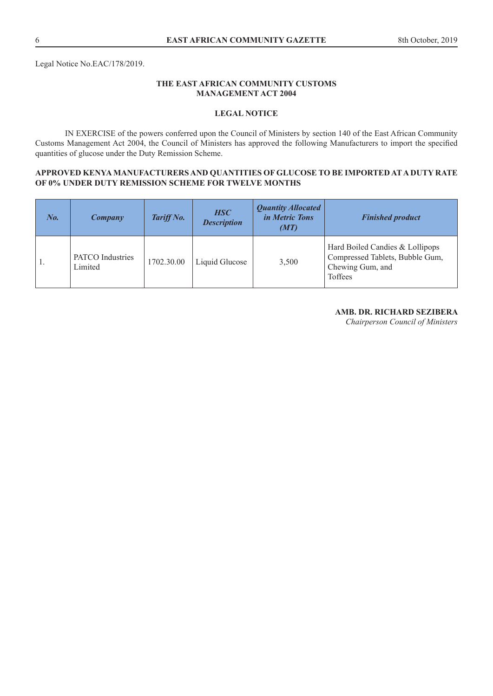# **THE EAST AFRICAN COMMUNITY CUSTOMS MANAGEMENT ACT 2004**

# **LEGAL NOTICE**

IN EXERCISE of the powers conferred upon the Council of Ministers by section 140 of the East African Community Customs Management Act 2004, the Council of Ministers has approved the following Manufacturers to import the specified quantities of glucose under the Duty Remission Scheme.

#### **APPROVED KENYA MANUFACTURERS AND QUANTITIES OF GLUCOSE TO BE IMPORTED AT A DUTY RATE OF 0% UNDER DUTY REMISSION SCHEME FOR TWELVE MONTHS**

| $N_{0.}$ | Company                     | Tariff No. | <b>HSC</b><br><b>Description</b> | <b>Quantity Allocated</b><br><i>in Metric Tons</i><br>(MT) | <b>Finished product</b>                                                                           |
|----------|-----------------------------|------------|----------------------------------|------------------------------------------------------------|---------------------------------------------------------------------------------------------------|
|          | PATCO Industries<br>Limited | 1702.30.00 | Liquid Glucose                   | 3,500                                                      | Hard Boiled Candies & Lollipops<br>Compressed Tablets, Bubble Gum,<br>Chewing Gum, and<br>Toffees |

# **AMB. DR. RICHARD SEZIBERA**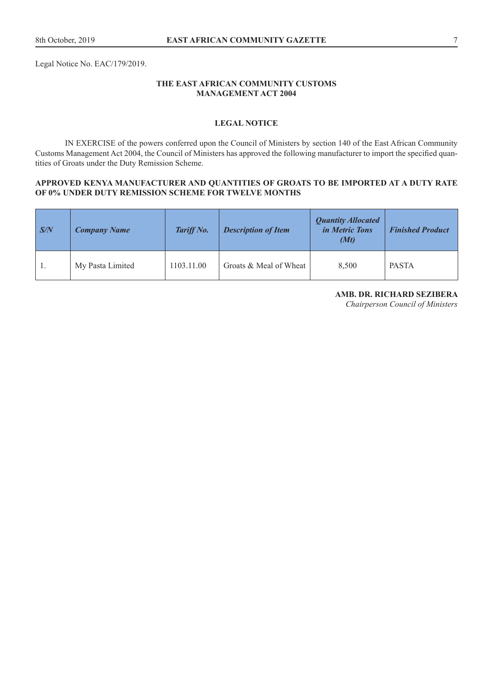Legal Notice No. EAC/179/2019.

#### **THE EAST AFRICAN COMMUNITY CUSTOMS MANAGEMENT ACT 2004**

# **LEGAL NOTICE**

IN EXERCISE of the powers conferred upon the Council of Ministers by section 140 of the East African Community Customs Management Act 2004, the Council of Ministers has approved the following manufacturer to import the specified quantities of Groats under the Duty Remission Scheme.

#### **APPROVED KENYA MANUFACTURER AND QUANTITIES OF GROATS TO BE IMPORTED AT A DUTY RATE OF 0% UNDER DUTY REMISSION SCHEME FOR TWELVE MONTHS**

| $\sqrt{S/N}$ | <b>Company Name</b> | Tariff No. | <b>Description of Item</b> | <b>Quantity Allocated</b><br><i>in Metric Tons</i><br>(Mt) | <b>Finished Product</b> |
|--------------|---------------------|------------|----------------------------|------------------------------------------------------------|-------------------------|
|              | My Pasta Limited    | 1103.11.00 | Groats & Meal of Wheat     | 8,500                                                      | <b>PASTA</b>            |

#### **AMB. DR. RICHARD SEZIBERA**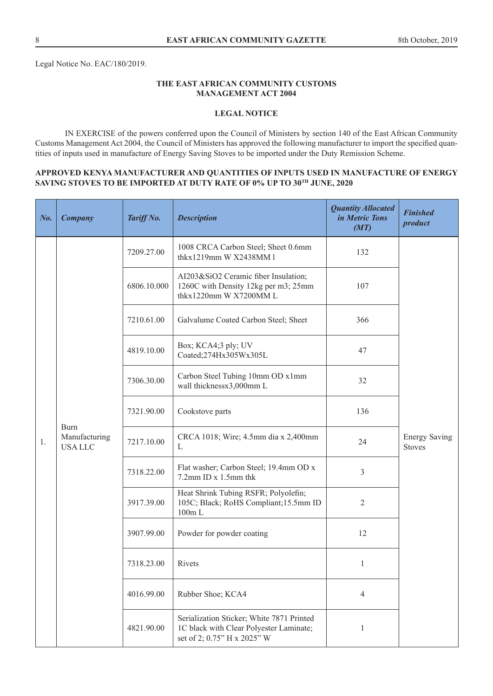Legal Notice No. EAC/180/2019.

#### **THE EAST AFRICAN COMMUNITY CUSTOMS MANAGEMENT ACT 2004**

# **LEGAL NOTICE**

IN EXERCISE of the powers conferred upon the Council of Ministers by section 140 of the East African Community Customs Management Act 2004, the Council of Ministers has approved the following manufacturer to import the specified quantities of inputs used in manufacture of Energy Saving Stoves to be imported under the Duty Remission Scheme.

#### **APPROVED KENYA MANUFACTURER AND QUANTITIES OF INPUTS USED IN MANUFACTURE OF ENERGY**  SAVING STOVES TO BE IMPORTED AT DUTY RATE OF 0% UP TO 30<sup>TH</sup> JUNE, 2020

| No. | Company                                       | Tariff No.  | <b>Description</b>                                                                                                  | <b>Quantity Allocated</b><br>in Metric Tons<br>(MT)                                      | <b>Finished</b><br>product            |  |
|-----|-----------------------------------------------|-------------|---------------------------------------------------------------------------------------------------------------------|------------------------------------------------------------------------------------------|---------------------------------------|--|
|     |                                               | 7209.27.00  | 1008 CRCA Carbon Steel; Sheet 0.6mm<br>thkx1219mm W X2438MM 1                                                       | 132                                                                                      |                                       |  |
|     |                                               | 6806.10.000 | AI203&SiO2 Ceramic fiber Insulation;<br>1260C with Density 12kg per m3; 25mm<br>thkx1220mm W X7200MM L              | 107                                                                                      |                                       |  |
|     |                                               | 7210.61.00  | Galvalume Coated Carbon Steel; Sheet                                                                                | 366                                                                                      |                                       |  |
|     |                                               | 4819.10.00  | Box; KCA4;3 ply; UV<br>Coated;274Hx305Wx305L                                                                        | 47                                                                                       |                                       |  |
|     | <b>Burn</b><br>Manufacturing<br><b>USALLC</b> |             | 7306.30.00                                                                                                          | Carbon Steel Tubing 10mm OD x1mm<br>wall thicknessx3,000mm L                             | 32                                    |  |
|     |                                               |             | 7321.90.00                                                                                                          | Cookstove parts                                                                          | 136                                   |  |
| 1.  |                                               | 7217.10.00  | CRCA 1018; Wire; 4.5mm dia x 2,400mm<br>L                                                                           | 24                                                                                       | <b>Energy Saving</b><br><b>Stoves</b> |  |
|     |                                               |             | 7318.22.00                                                                                                          | Flat washer; Carbon Steel; 19.4mm OD x<br>7.2mm ID x 1.5mm thk                           | 3                                     |  |
|     |                                               |             | 3917.39.00                                                                                                          | Heat Shrink Tubing RSFR; Polyolefin;<br>105C; Black; RoHS Compliant; 15.5mm ID<br>100m L | $\mathbf{2}$                          |  |
|     |                                               | 3907.99.00  | Powder for powder coating                                                                                           | 12                                                                                       |                                       |  |
|     |                                               | 7318.23.00  | Rivets                                                                                                              | $\mathbf{1}$                                                                             |                                       |  |
|     |                                               | 4016.99.00  | Rubber Shoe; KCA4                                                                                                   | $\overline{4}$                                                                           |                                       |  |
|     |                                               | 4821.90.00  | Serialization Sticker; White 7871 Printed<br>1C black with Clear Polyester Laminate;<br>set of 2; 0.75" H x 2025" W | 1                                                                                        |                                       |  |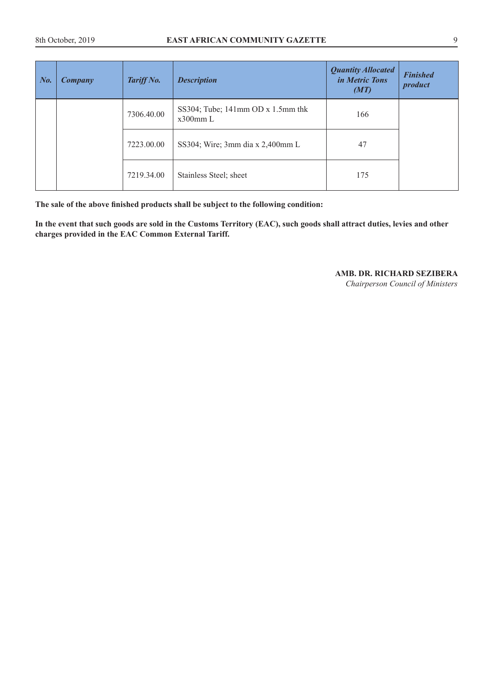| $N_{0}$ . | Company | Tariff No. | <b>Description</b>                                     | <b>Quantity Allocated</b><br><i>in Metric Tons</i><br>(MT) | <b>Finished</b><br>product |
|-----------|---------|------------|--------------------------------------------------------|------------------------------------------------------------|----------------------------|
|           |         | 7306.40.00 | SS304; Tube; $141$ mm OD x $1.5$ mm thk<br>$x300$ mm L | 166                                                        |                            |
|           |         | 7223.00.00 | SS304; Wire; 3mm dia x 2,400mm L                       | 47                                                         |                            |
|           |         | 7219.34.00 | Stainless Steel; sheet                                 | 175                                                        |                            |

**The sale of the above finished products shall be subject to the following condition:**

**In the event that such goods are sold in the Customs Territory (EAC), such goods shall attract duties, levies and other charges provided in the EAC Common External Tariff.** 

**AMB. DR. RICHARD SEZIBERA**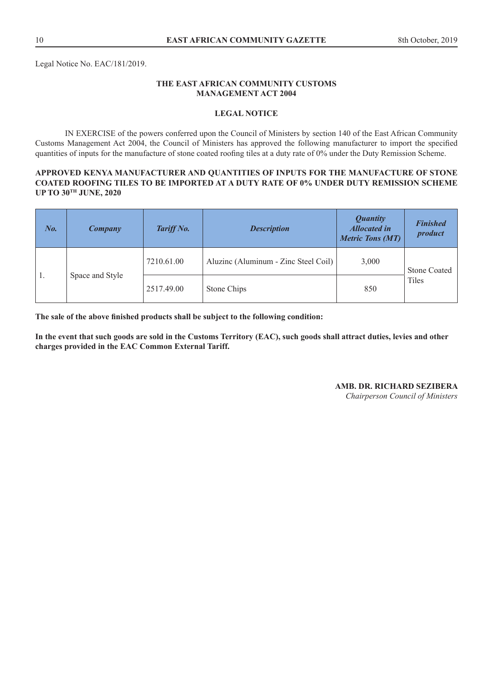Legal Notice No. EAC/181/2019.

# **THE EAST AFRICAN COMMUNITY CUSTOMS MANAGEMENT ACT 2004**

#### **LEGAL NOTICE**

IN EXERCISE of the powers conferred upon the Council of Ministers by section 140 of the East African Community Customs Management Act 2004, the Council of Ministers has approved the following manufacturer to import the specified quantities of inputs for the manufacture of stone coated roofing tiles at a duty rate of 0% under the Duty Remission Scheme.

#### **APPROVED KENYA MANUFACTURER AND QUANTITIES OF INPUTS FOR THE MANUFACTURE OF STONE COATED ROOFING TILES TO BE IMPORTED AT A DUTY RATE OF 0% UNDER DUTY REMISSION SCHEME UP TO 30TH JUNE, 2020**

| $N_{0}$ . | Company         | Tariff No. | <b>Description</b>                   | <b>Quantity</b><br><b>Allocated in</b><br><b>Metric Tons (MT)</b> | <b>Finished</b><br>product |
|-----------|-----------------|------------|--------------------------------------|-------------------------------------------------------------------|----------------------------|
|           |                 | 7210.61.00 | Aluzinc (Aluminum - Zinc Steel Coil) | 3,000                                                             | <b>Stone Coated</b>        |
| .,        | Space and Style | 2517.49.00 | Stone Chips                          | 850                                                               | Tiles                      |

**The sale of the above finished products shall be subject to the following condition:**

**In the event that such goods are sold in the Customs Territory (EAC), such goods shall attract duties, levies and other charges provided in the EAC Common External Tariff.** 

#### **AMB. DR. RICHARD SEZIBERA**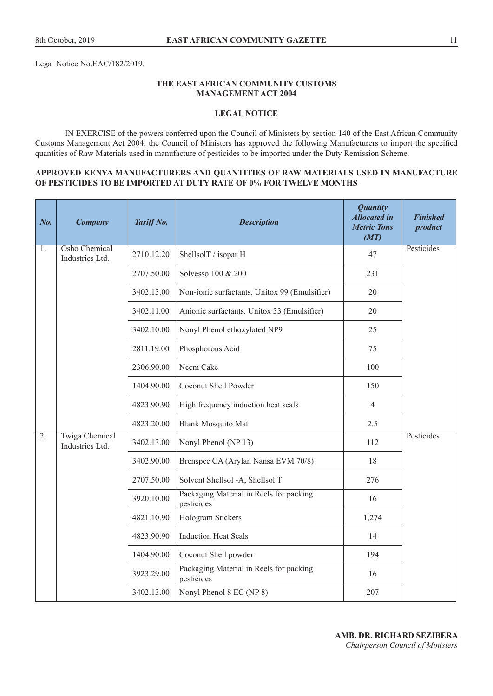Legal Notice No.EAC/182/2019.

#### **THE EAST AFRICAN COMMUNITY CUSTOMS MANAGEMENT ACT 2004**

#### **LEGAL NOTICE**

IN EXERCISE of the powers conferred upon the Council of Ministers by section 140 of the East African Community Customs Management Act 2004, the Council of Ministers has approved the following Manufacturers to import the specified quantities of Raw Materials used in manufacture of pesticides to be imported under the Duty Remission Scheme.

#### **APPROVED KENYA MANUFACTURERS AND QUANTITIES OF RAW MATERIALS USED IN MANUFACTURE OF PESTICIDES TO BE IMPORTED AT DUTY RATE OF 0% FOR TWELVE MONTHS**

| No. | <b>Company</b>                           | Tariff No. | <b>Description</b>                                    | <b>Quantity</b><br><b>Allocated in</b><br><b>Metric Tons</b><br>(MT) | <b>Finished</b><br>product |
|-----|------------------------------------------|------------|-------------------------------------------------------|----------------------------------------------------------------------|----------------------------|
| 1.  | <b>Osho Chemical</b><br>Industries Ltd.  | 2710.12.20 | ShellsolT / isopar H                                  | 47                                                                   | Pesticides                 |
|     |                                          | 2707.50.00 | Solvesso 100 & 200                                    | 231                                                                  |                            |
|     |                                          | 3402.13.00 | Non-ionic surfactants. Unitox 99 (Emulsifier)         | 20                                                                   |                            |
|     |                                          | 3402.11.00 | Anionic surfactants. Unitox 33 (Emulsifier)           | 20                                                                   |                            |
|     |                                          | 3402.10.00 | Nonyl Phenol ethoxylated NP9                          | 25                                                                   |                            |
|     |                                          | 2811.19.00 | Phosphorous Acid                                      | 75                                                                   |                            |
|     |                                          | 2306.90.00 | Neem Cake                                             | 100                                                                  |                            |
|     |                                          | 1404.90.00 | Coconut Shell Powder                                  | 150                                                                  |                            |
|     |                                          | 4823.90.90 | High frequency induction heat seals                   | $\overline{4}$                                                       |                            |
|     |                                          | 4823.20.00 | <b>Blank Mosquito Mat</b>                             | 2.5                                                                  |                            |
| 2.  | <b>Twiga Chemical</b><br>Industries Ltd. | 3402.13.00 | Nonyl Phenol (NP 13)                                  | 112                                                                  | Pesticides                 |
|     |                                          | 3402.90.00 | Brenspec CA (Arylan Nansa EVM 70/8)                   | 18                                                                   |                            |
|     |                                          | 2707.50.00 | Solvent Shellsol -A, Shellsol T                       | 276                                                                  |                            |
|     |                                          | 3920.10.00 | Packaging Material in Reels for packing<br>pesticides | 16                                                                   |                            |
|     |                                          | 4821.10.90 | Hologram Stickers                                     | 1,274                                                                |                            |
|     |                                          | 4823.90.90 | <b>Induction Heat Seals</b>                           | 14                                                                   |                            |
|     |                                          | 1404.90.00 | Coconut Shell powder                                  | 194                                                                  |                            |
|     |                                          | 3923.29.00 | Packaging Material in Reels for packing<br>pesticides | 16                                                                   |                            |
|     |                                          | 3402.13.00 | Nonyl Phenol 8 EC (NP 8)                              | 207                                                                  |                            |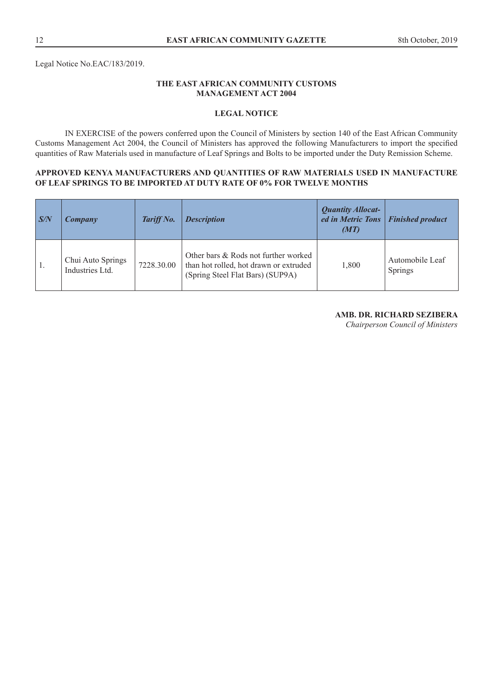Legal Notice No.EAC/183/2019.

#### **THE EAST AFRICAN COMMUNITY CUSTOMS MANAGEMENT ACT 2004**

#### **LEGAL NOTICE**

IN EXERCISE of the powers conferred upon the Council of Ministers by section 140 of the East African Community Customs Management Act 2004, the Council of Ministers has approved the following Manufacturers to import the specified quantities of Raw Materials used in manufacture of Leaf Springs and Bolts to be imported under the Duty Remission Scheme.

#### **APPROVED KENYA MANUFACTURERS AND QUANTITIES OF RAW MATERIALS USED IN MANUFACTURE OF LEAF SPRINGS TO BE IMPORTED AT DUTY RATE OF 0% FOR TWELVE MONTHS**

| $\sqrt{S/N}$   | Company                              | Tariff No. | <b>Description</b>                                                                                                 | <b>Quantity Allocat-</b><br>ed in Metric Tons<br>(MT) | <b>Finished product</b>    |
|----------------|--------------------------------------|------------|--------------------------------------------------------------------------------------------------------------------|-------------------------------------------------------|----------------------------|
| $^{\prime}$ 1. | Chui Auto Springs<br>Industries Ltd. | 7228.30.00 | Other bars & Rods not further worked<br>than hot rolled, hot drawn or extruded<br>(Spring Steel Flat Bars) (SUP9A) | 1,800                                                 | Automobile Leaf<br>Springs |

# **AMB. DR. RICHARD SEZIBERA**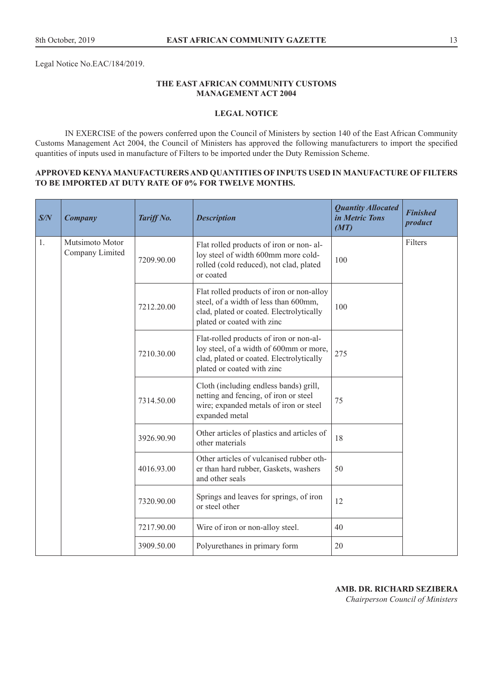Legal Notice No.EAC/184/2019.

#### **THE EAST AFRICAN COMMUNITY CUSTOMS MANAGEMENT ACT 2004**

#### **LEGAL NOTICE**

IN EXERCISE of the powers conferred upon the Council of Ministers by section 140 of the East African Community Customs Management Act 2004, the Council of Ministers has approved the following manufacturers to import the specified quantities of inputs used in manufacture of Filters to be imported under the Duty Remission Scheme.

#### **APPROVED KENYA MANUFACTURERS AND QUANTITIES OF INPUTS USED IN MANUFACTURE OF FILTERS TO BE IMPORTED AT DUTY RATE OF 0% FOR TWELVE MONTHS.**

| S/N | <b>Company</b>                     | Tariff No. | <b>Description</b>                                                                                                                                           | <b>Quantity Allocated</b><br>in Metric Tons<br>(MT) | <b>Finished</b><br>product |
|-----|------------------------------------|------------|--------------------------------------------------------------------------------------------------------------------------------------------------------------|-----------------------------------------------------|----------------------------|
| 1.  | Mutsimoto Motor<br>Company Limited | 7209.90.00 | Flat rolled products of iron or non-al-<br>loy steel of width 600mm more cold-<br>rolled (cold reduced), not clad, plated<br>or coated                       | 100                                                 | Filters                    |
|     |                                    | 7212.20.00 | Flat rolled products of iron or non-alloy<br>steel, of a width of less than 600mm,<br>clad, plated or coated. Electrolytically<br>plated or coated with zinc | 100                                                 |                            |
|     |                                    | 7210.30.00 | Flat-rolled products of iron or non-al-<br>loy steel, of a width of 600mm or more,<br>clad, plated or coated. Electrolytically<br>plated or coated with zinc | 275                                                 |                            |
|     |                                    | 7314.50.00 | Cloth (including endless bands) grill,<br>netting and fencing, of iron or steel<br>wire; expanded metals of iron or steel<br>expanded metal                  | 75                                                  |                            |
|     |                                    | 3926.90.90 | Other articles of plastics and articles of<br>other materials                                                                                                | 18                                                  |                            |
|     |                                    | 4016.93.00 | Other articles of vulcanised rubber oth-<br>er than hard rubber, Gaskets, washers<br>and other seals                                                         | 50                                                  |                            |
|     |                                    | 7320.90.00 | Springs and leaves for springs, of iron<br>or steel other                                                                                                    | 12                                                  |                            |
|     |                                    | 7217.90.00 | Wire of iron or non-alloy steel.                                                                                                                             | 40                                                  |                            |
|     |                                    | 3909.50.00 | Polyurethanes in primary form                                                                                                                                | 20                                                  |                            |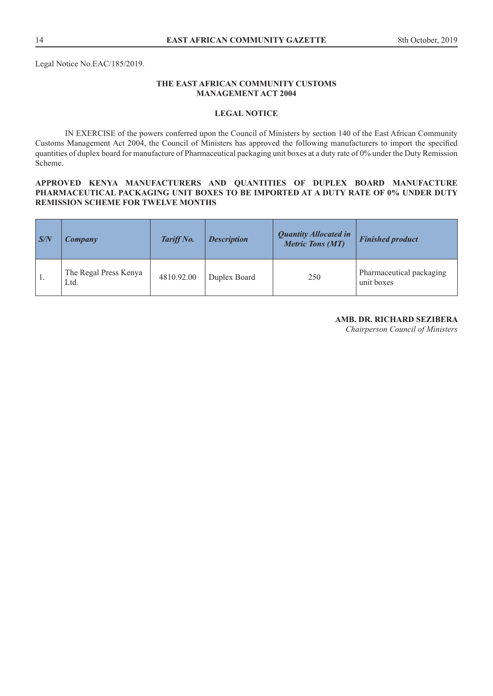## **THE EAST AFRICAN COMMUNITY CUSTOMS MANAGEMENT ACT 2004**

#### **LEGAL NOTICE**

IN EXERCISE of the powers conferred upon the Council of Ministers by section 140 of the East African Community Customs Management Act 2004, the Council of Ministers has approved the following manufacturers to import the specified quantities of duplex board for manufacture of Pharmaceutical packaging unit boxes at a duty rate of 0% under the Duty Remission Scheme.

#### **APPROVED KENYA MANUFACTURERS AND QUANTITIES OF DUPLEX BOARD MANUFACTURE PHARMACEUTICAL PACKAGING UNIT BOXES TO BE IMPORTED AT A DUTY RATE OF 0% UNDER DUTY REMISSION SCHEME FOR TWELVE MONTHS**

| S/N          | <b>Company</b>                | Tariff No. | <b>Description</b> | <b>Quantity Allocated in</b><br><b>Metric Tons (MT)</b> | <b>Finished product</b>                |
|--------------|-------------------------------|------------|--------------------|---------------------------------------------------------|----------------------------------------|
| $^{\circ}1.$ | The Regal Press Kenya<br>Ltd. | 4810.92.00 | Duplex Board       | 250                                                     | Pharmaceutical packaging<br>unit boxes |

#### **AMB. DR. RICHARD SEZIBERA**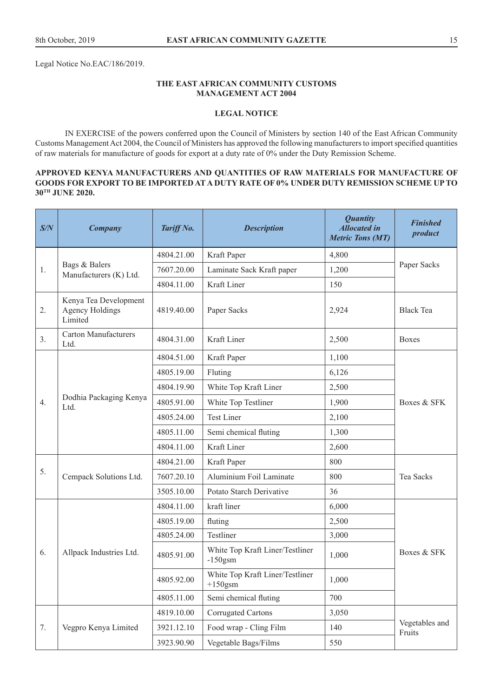Legal Notice No.EAC/186/2019.

#### **THE EAST AFRICAN COMMUNITY CUSTOMS MANAGEMENT ACT 2004**

#### **LEGAL NOTICE**

IN EXERCISE of the powers conferred upon the Council of Ministers by section 140 of the East African Community Customs Management Act 2004, the Council of Ministers has approved the following manufacturers to import specified quantities of raw materials for manufacture of goods for export at a duty rate of 0% under the Duty Remission Scheme.

#### **APPROVED KENYA MANUFACTURERS AND QUANTITIES OF RAW MATERIALS FOR MANUFACTURE OF GOODS FOR EXPORT TO BE IMPORTED AT A DUTY RATE OF 0% UNDER DUTY REMISSION SCHEME UP TO 30TH JUNE 2020.**

| S/N | <b>Company</b>                                             | Tariff No. | <b>Description</b>                            | <b>Quantity</b><br><b>Allocated in</b><br><b>Metric Tons (MT)</b> | <b>Finished</b><br>product |  |
|-----|------------------------------------------------------------|------------|-----------------------------------------------|-------------------------------------------------------------------|----------------------------|--|
| 1.  | Bags & Balers<br>Manufacturers (K) Ltd.                    | 4804.21.00 | Kraft Paper                                   | 4,800                                                             |                            |  |
|     |                                                            | 7607.20.00 | Laminate Sack Kraft paper                     | 1,200                                                             | Paper Sacks                |  |
|     |                                                            | 4804.11.00 | Kraft Liner                                   | 150                                                               |                            |  |
| 2.  | Kenya Tea Development<br><b>Agency Holdings</b><br>Limited | 4819.40.00 | Paper Sacks                                   | 2,924                                                             | <b>Black Tea</b>           |  |
| 3.  | <b>Carton Manufacturers</b><br>Ltd.                        | 4804.31.00 | Kraft Liner                                   | 2,500                                                             | <b>Boxes</b>               |  |
|     |                                                            | 4804.51.00 | Kraft Paper                                   | 1,100                                                             |                            |  |
|     |                                                            | 4805.19.00 | Fluting                                       | 6,126                                                             |                            |  |
|     |                                                            | 4804.19.90 | White Top Kraft Liner                         | 2,500                                                             |                            |  |
| 4.  | Dodhia Packaging Kenya<br>Ltd.                             | 4805.91.00 | White Top Testliner                           | 1,900                                                             | Boxes & SFK                |  |
|     |                                                            | 4805.24.00 | <b>Test Liner</b>                             | 2,100                                                             |                            |  |
|     |                                                            | 4805.11.00 | Semi chemical fluting                         | 1,300                                                             |                            |  |
|     |                                                            | 4804.11.00 | Kraft Liner                                   | 2,600                                                             |                            |  |
|     | Cempack Solutions Ltd.                                     | 4804.21.00 | Kraft Paper                                   | 800                                                               | Tea Sacks                  |  |
| 5.  |                                                            | 7607.20.10 | Aluminium Foil Laminate                       | 800                                                               |                            |  |
|     |                                                            | 3505.10.00 | Potato Starch Derivative                      | 36                                                                |                            |  |
|     |                                                            | 4804.11.00 | kraft liner                                   | 6,000                                                             |                            |  |
|     |                                                            | 4805.19.00 | fluting                                       | 2,500                                                             |                            |  |
|     |                                                            | 4805.24.00 | Testliner                                     | 3,000                                                             |                            |  |
| 6.  | Allpack Industries Ltd.                                    | 4805.91.00 | White Top Kraft Liner/Testliner<br>$-150$ gsm | 1,000                                                             | Boxes & SFK                |  |
|     |                                                            | 4805.92.00 | White Top Kraft Liner/Testliner<br>$+150$ gsm | 1,000                                                             |                            |  |
|     |                                                            | 4805.11.00 | Semi chemical fluting                         | 700                                                               |                            |  |
|     |                                                            | 4819.10.00 | <b>Corrugated Cartons</b>                     | 3,050                                                             |                            |  |
| 7.  | Vegpro Kenya Limited                                       | 3921.12.10 | Food wrap - Cling Film                        | 140                                                               | Vegetables and<br>Fruits   |  |
|     |                                                            | 3923.90.90 | Vegetable Bags/Films                          | 550                                                               |                            |  |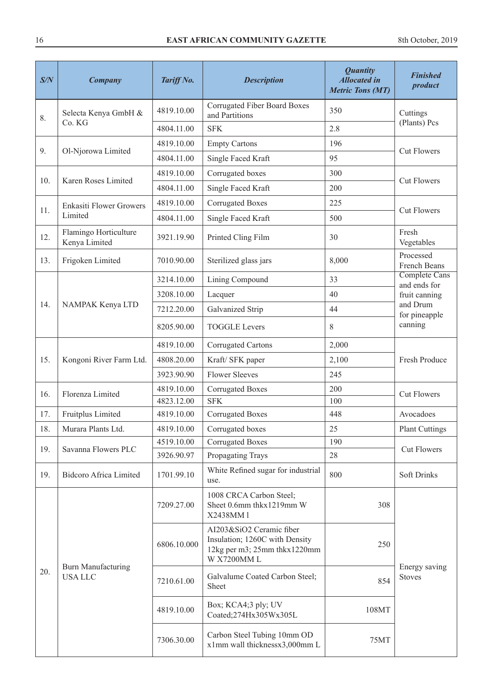| S/N | <b>Company</b>                             | Tariff No.  | <b>Description</b>                                                                                        | <b>Quantity</b><br><b>Allocated in</b><br><b>Metric Tons (MT)</b> | <b>Finished</b><br>product           |
|-----|--------------------------------------------|-------------|-----------------------------------------------------------------------------------------------------------|-------------------------------------------------------------------|--------------------------------------|
| 8.  | Selecta Kenya GmbH &                       | 4819.10.00  | Corrugated Fiber Board Boxes<br>and Partitions                                                            | 350                                                               | Cuttings                             |
|     | Co. KG                                     | 4804.11.00  | <b>SFK</b>                                                                                                | 2.8                                                               | (Plants) Pcs                         |
|     |                                            | 4819.10.00  | <b>Empty Cartons</b>                                                                                      | 196                                                               |                                      |
| 9.  | Ol-Njorowa Limited                         | 4804.11.00  | Single Faced Kraft                                                                                        | 95                                                                | <b>Cut Flowers</b>                   |
|     |                                            | 4819.10.00  | Corrugated boxes                                                                                          | 300                                                               |                                      |
| 10. | Karen Roses Limited                        | 4804.11.00  | Single Faced Kraft                                                                                        | 200                                                               | <b>Cut Flowers</b>                   |
|     | <b>Enkasiti Flower Growers</b>             | 4819.10.00  | <b>Corrugated Boxes</b>                                                                                   | 225                                                               |                                      |
| 11. | Limited                                    | 4804.11.00  | Single Faced Kraft                                                                                        | 500                                                               | <b>Cut Flowers</b>                   |
| 12. | Flamingo Horticulture<br>Kenya Limited     | 3921.19.90  | Printed Cling Film                                                                                        | 30                                                                | Fresh<br>Vegetables                  |
| 13. | Frigoken Limited                           | 7010.90.00  | Sterilized glass jars                                                                                     | 8,000                                                             | Processed<br>French Beans            |
|     |                                            | 3214.10.00  | Lining Compound                                                                                           | 33                                                                | <b>Complete Cans</b><br>and ends for |
|     |                                            | 3208.10.00  | Lacquer                                                                                                   | 40                                                                | fruit canning                        |
| 14. | NAMPAK Kenya LTD                           | 7212.20.00  | Galvanized Strip                                                                                          | 44                                                                | and Drum<br>for pineapple            |
|     |                                            | 8205.90.00  | <b>TOGGLE Levers</b>                                                                                      | 8                                                                 | canning                              |
|     | Kongoni River Farm Ltd.                    | 4819.10.00  | Corrugated Cartons                                                                                        | 2,000                                                             | Fresh Produce                        |
| 15. |                                            | 4808.20.00  | Kraft/ SFK paper                                                                                          | 2,100                                                             |                                      |
|     |                                            | 3923.90.90  | <b>Flower Sleeves</b>                                                                                     | 245                                                               |                                      |
| 16. | Florenza Limited                           | 4819.10.00  | <b>Corrugated Boxes</b>                                                                                   | 200                                                               | <b>Cut Flowers</b>                   |
|     |                                            | 4823.12.00  | <b>SFK</b>                                                                                                | 100                                                               |                                      |
| 17. | Fruitplus Limited                          | 4819.10.00  | <b>Corrugated Boxes</b>                                                                                   | 448                                                               | Avocadoes                            |
| 18. | Murara Plants Ltd.                         | 4819.10.00  | Corrugated boxes                                                                                          | 25                                                                | Plant Cuttings                       |
| 19. | Savanna Flowers PLC                        | 4519.10.00  | <b>Corrugated Boxes</b>                                                                                   | 190                                                               | <b>Cut Flowers</b>                   |
|     |                                            | 3926.90.97  | Propagating Trays                                                                                         | 28                                                                |                                      |
| 19. | <b>Bidcoro Africa Limited</b>              | 1701.99.10  | White Refined sugar for industrial<br>use.                                                                | 800                                                               | <b>Soft Drinks</b>                   |
|     | <b>Burn Manufacturing</b><br><b>USALLC</b> | 7209.27.00  | 1008 CRCA Carbon Steel;<br>Sheet 0.6mm thkx1219mm W<br>X2438MM1                                           | 308                                                               |                                      |
| 20. |                                            | 6806.10.000 | AI203&SiO2 Ceramic fiber<br>Insulation; 1260C with Density<br>12kg per m3; 25mm thkx1220mm<br>W X7200MM L | 250                                                               |                                      |
|     |                                            | 7210.61.00  | Galvalume Coated Carbon Steel;<br>Sheet                                                                   | 854                                                               | Energy saving<br><b>Stoves</b>       |
|     |                                            | 4819.10.00  | Box; KCA4;3 ply; UV<br>Coated;274Hx305Wx305L                                                              | 108MT                                                             |                                      |
|     |                                            | 7306.30.00  | Carbon Steel Tubing 10mm OD<br>x1mm wall thicknessx3,000mm L                                              | 75MT                                                              |                                      |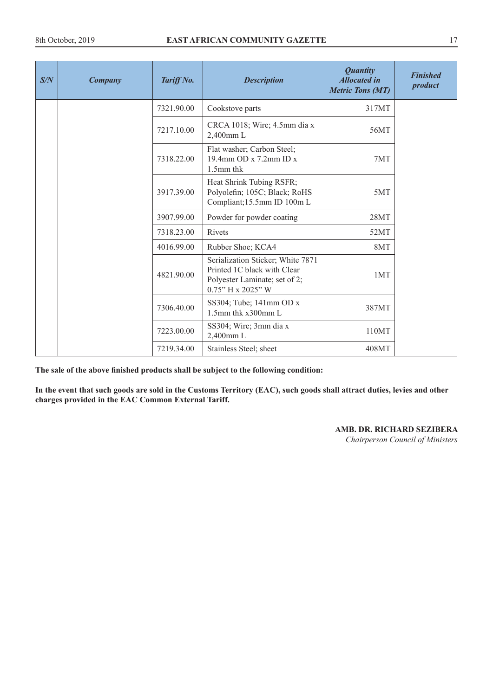| S/N | <b>Company</b> | Tariff No. | <b>Description</b>                                                                                                       | <b>Quantity</b><br><b>Allocated in</b><br><b>Metric Tons (MT)</b> | <b>Finished</b><br>product |
|-----|----------------|------------|--------------------------------------------------------------------------------------------------------------------------|-------------------------------------------------------------------|----------------------------|
|     |                | 7321.90.00 | Cookstove parts                                                                                                          | 317MT                                                             |                            |
|     |                | 7217.10.00 | CRCA 1018; Wire; 4.5mm dia x<br>2,400mm L                                                                                | 56MT                                                              |                            |
|     |                | 7318.22.00 | Flat washer; Carbon Steel;<br>19.4mm OD x 7.2mm ID x<br>1.5mm thk                                                        | 7MT                                                               |                            |
|     |                | 3917.39.00 | Heat Shrink Tubing RSFR;<br>Polyolefin; 105C; Black; RoHS<br>Compliant;15.5mm ID 100m L                                  | 5MT                                                               |                            |
|     |                | 3907.99.00 | Powder for powder coating                                                                                                | 28MT                                                              |                            |
|     |                | 7318.23.00 | Rivets                                                                                                                   | 52MT                                                              |                            |
|     |                | 4016.99.00 | Rubber Shoe; KCA4                                                                                                        | 8MT                                                               |                            |
|     |                | 4821.90.00 | Serialization Sticker; White 7871<br>Printed 1C black with Clear<br>Polyester Laminate; set of 2;<br>$0.75"$ H x 2025" W | 1MT                                                               |                            |
|     |                | 7306.40.00 | SS304; Tube; 141mm OD x<br>1.5mm thk x300mm L                                                                            | 387MT                                                             |                            |
|     |                | 7223.00.00 | SS304; Wire; 3mm dia x<br>2,400mm L                                                                                      | 110MT                                                             |                            |
|     |                | 7219.34.00 | Stainless Steel; sheet                                                                                                   | 408MT                                                             |                            |

**The sale of the above finished products shall be subject to the following condition:**

**In the event that such goods are sold in the Customs Territory (EAC), such goods shall attract duties, levies and other charges provided in the EAC Common External Tariff.** 

**AMB. DR. RICHARD SEZIBERA**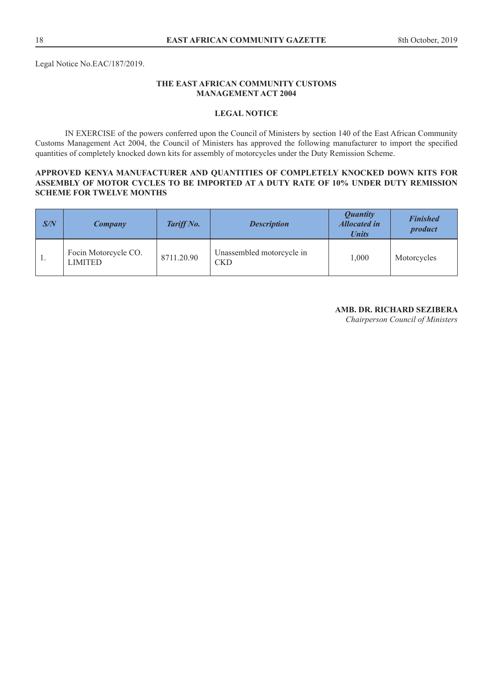## **THE EAST AFRICAN COMMUNITY CUSTOMS MANAGEMENT ACT 2004**

#### **LEGAL NOTICE**

IN EXERCISE of the powers conferred upon the Council of Ministers by section 140 of the East African Community Customs Management Act 2004, the Council of Ministers has approved the following manufacturer to import the specified quantities of completely knocked down kits for assembly of motorcycles under the Duty Remission Scheme.

#### **APPROVED KENYA MANUFACTURER AND QUANTITIES OF COMPLETELY KNOCKED DOWN KITS FOR ASSEMBLY OF MOTOR CYCLES TO BE IMPORTED AT A DUTY RATE OF 10% UNDER DUTY REMISSION SCHEME FOR TWELVE MONTHS**

| S/N | Company                                | Tariff No. | <b>Description</b>                      | <i><b>Quantity</b></i><br><b>Allocated in</b><br><b>Units</b> | <b>Finished</b><br>product |
|-----|----------------------------------------|------------|-----------------------------------------|---------------------------------------------------------------|----------------------------|
| . . | Focin Motorcycle CO.<br><b>LIMITED</b> | 8711.20.90 | Unassembled motorcycle in<br><b>CKD</b> | 1,000                                                         | Motorcycles                |

# **AMB. DR. RICHARD SEZIBERA**